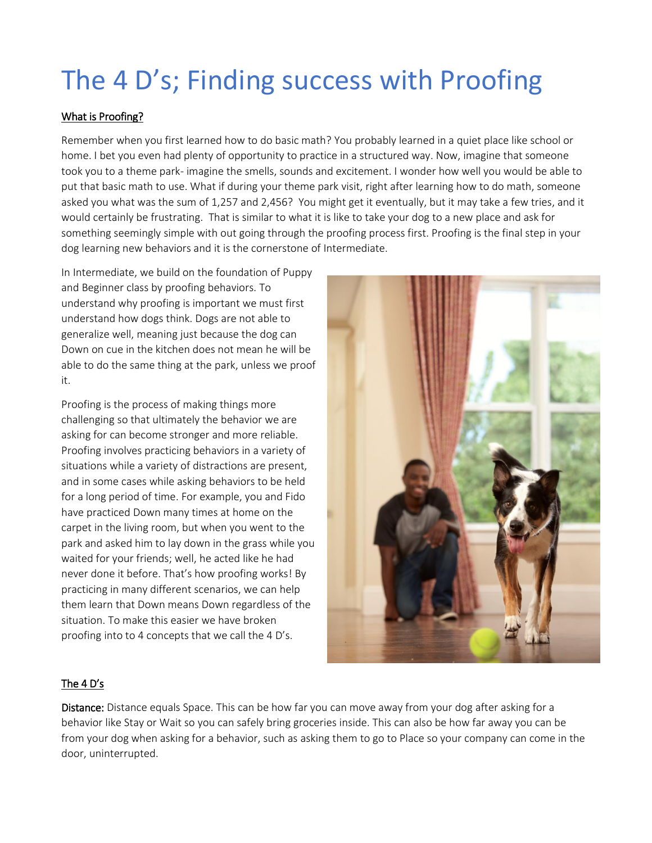## The 4 D's; Finding success with Proofing

## What is Proofing?

Remember when you first learned how to do basic math? You probably learned in a quiet place like school or home. I bet you even had plenty of opportunity to practice in a structured way. Now, imagine that someone took you to a theme park- imagine the smells, sounds and excitement. I wonder how well you would be able to put that basic math to use. What if during your theme park visit, right after learning how to do math, someone asked you what was the sum of 1,257 and 2,456? You might get it eventually, but it may take a few tries, and it would certainly be frustrating. That is similar to what it is like to take your dog to a new place and ask for something seemingly simple with out going through the proofing process first. Proofing is the final step in your dog learning new behaviors and it is the cornerstone of Intermediate.

In Intermediate, we build on the foundation of Puppy and Beginner class by proofing behaviors. To understand why proofing is important we must first understand how dogs think. Dogs are not able to generalize well, meaning just because the dog can Down on cue in the kitchen does not mean he will be able to do the same thing at the park, unless we proof it.

Proofing is the process of making things more challenging so that ultimately the behavior we are asking for can become stronger and more reliable. Proofing involves practicing behaviors in a variety of situations while a variety of distractions are present, and in some cases while asking behaviors to be held for a long period of time. For example, you and Fido have practiced Down many times at home on the carpet in the living room, but when you went to the park and asked him to lay down in the grass while you waited for your friends; well, he acted like he had never done it before. That's how proofing works! By practicing in many different scenarios, we can help them learn that Down means Down regardless of the situation. To make this easier we have broken proofing into to 4 concepts that we call the 4 D's.



## The 4 D's

Distance: Distance equals Space. This can be how far you can move away from your dog after asking for a behavior like Stay or Wait so you can safely bring groceries inside. This can also be how far away you can be from your dog when asking for a behavior, such as asking them to go to Place so your company can come in the door, uninterrupted.